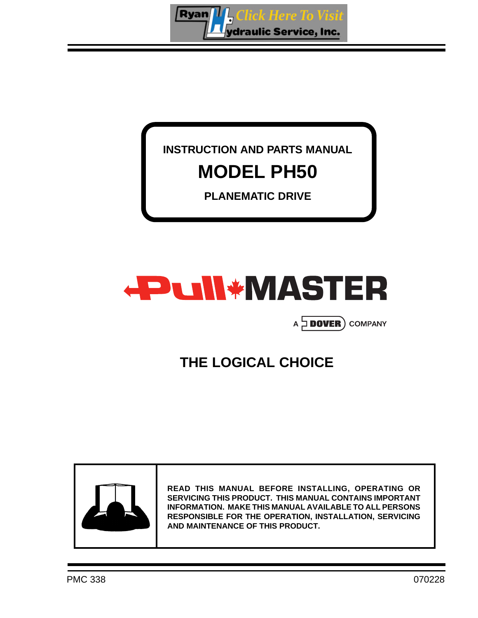

### **INSTRUCTION AND PARTS MANUAL MODEL PH50**

**PLANEMATIC DRIVE**



### A **DOVER** COMPANY

### **THE LOGICAL CHOICE**



**READ THIS MANUAL BEFORE INSTALLING, OPERATING OR SERVICING THIS PRODUCT. THIS MANUAL CONTAINS IMPORTANT INFORMATION. MAKE THIS MANUAL AVAILABLE TO ALL PERSONS RESPONSIBLE FOR THE OPERATION, INSTALLATION, SERVICING AND MAINTENANCE OF THIS PRODUCT.**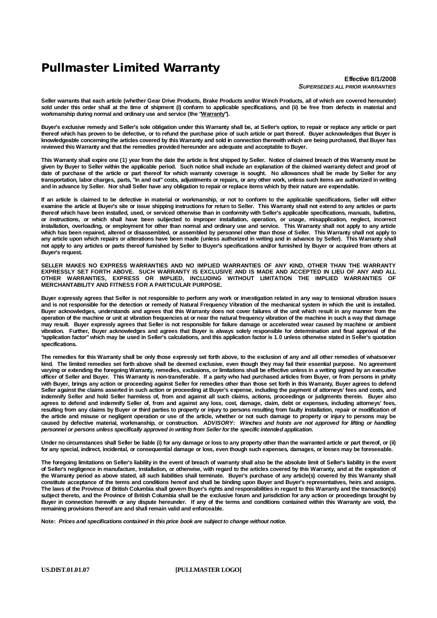### **Pullmaster Limited Warranty**

**Effective 8/1/2008** *SUPERSEDES ALL PRIOR WARRANTIES*

Seller warrants that each article (whether Gear Drive Products, Brake Products and/or Winch Products, all of which are covered hereunder) sold under this order shall at the time of shipment (i) conform to applicable specifications, and (ii) be free from defects in material and **workmanship during normal and ordinary use and service (the "Warranty").**

Buyer's exclusive remedy and Seller's sole obligation under this Warranty shall be, at Seller's option, to repair or replace any article or part thereof which has proven to be defective, or to refund the purchase price of such article or part thereof. Buyer acknowledges that Buyer is knowledgeable concerning the articles covered by this Warranty and sold in connection therewith which are being purchased, that Buyer has **reviewed this Warranty and that the remedies provided hereunder are adequate and acceptable to Buyer.**

This Warranty shall expire one (1) year from the date the article is first shipped by Seller. Notice of claimed breach of this Warranty must be given by Buyer to Seller within the applicable period. Such notice shall include an explanation of the claimed warranty defect and proof of date of purchase of the article or part thereof for which warranty coverage is sought. No allowances shall be made by Seller for any transportation, labor charges, parts, "in and out" costs, adjustments or repairs, or any other work, unless such items are authorized in writing and in advance by Seller. Nor shall Seller have any obligation to repair or replace items which by their nature are expendable.

If an article is claimed to be defective in material or workmanship, or not to conform to the applicable specifications, Seller will either examine the article at Buver's site or issue shipping instructions for return to Seller. This Warranty shall not extend to any articles or parts thereof which have been installed, used, or serviced otherwise than in conformity with Seller's applicable specifications, manuals, bulletins, or instructions, or which shall have been subjected to improper installation, operation, or usage, misapplication, neglect, incorrect installation, overloading, or employment for other than normal and ordinary use and service. This Warranty shall not apply to any article which has been repaired, altered or disassembled, or assembled by personnel other than those of Seller. This Warranty shall not apply to any article upon which repairs or alterations have been made (unless authorized in writing and in advance by Seller). This Warranty shall not apply to any articles or parts thereof furnished by Seller to Buyer's specifications and/or furnished by Buyer or acquired from others at **Buyer's request.**

**SELLER MAKES NO EXPRESS WARRANTIES AND NO IMPLIED WARRANTIES OF ANY KIND, OTHER THAN THE WARRANTY** EXPRESSLY SET FORTH ABOVE. SUCH WARRANTY IS EXCLUSIVE AND IS MADE AND ACCEPTED IN LIEU OF ANY AND ALL **OTHER WARRANTIES, EXPRESS OR IMPLIED, INCLUDING WITHOUT LIMITATION THE IMPLIED WARRANTIES OF MERCHANTABILITY AND FITNESS FOR A PARTICULAR PURPOSE.**

Buyer expressly agrees that Seller is not responsible to perform any work or investigation related in any way to tensional vibration issues and is not responsible for the detection or remedy of Natural Frequency Vibration of the mechanical system in which the unit is installed. Buyer acknowledges, understands and agrees that this Warranty does not cover failures of the unit which result in any manner from the operation of the machine or unit at vibration frequencies at or near the natural frequency vibration of the machine in such a way that damage may result. Buyer expressly agrees that Seller is not responsible for failure damage or accelerated wear caused by machine or ambient vibration. Further, Buyer acknowledges and agrees that Buyer is always solely responsible for determination and final approval of the "application factor" which may be used in Seller's calculations, and this application factor is 1.0 unless otherwise stated in Seller's quotation **specifications.**

The remedies for this Warranty shall be only those expressly set forth above, to the exclusion of any and all other remedies of whatsoever kind. The limited remedies set forth above shall be deemed exclusive, even though they may fail their essential purpose. No agreement varying or extending the foregoing Warranty, remedies, exclusions, or limitations shall be effective unless in a writing signed by an executive officer of Seller and Buyer. This Warranty is non-transferable. If a party who had purchased articles from Buyer, or from persons in privity with Buyer, brings any action or proceeding against Seller for remedies other than those set forth in this Warranty, Buyer agrees to defend Seller against the claims asserted in such action or proceeding at Buyer's expense, including the payment of attorneys' fees and costs, and indemnify Seller and hold Seller harmless of, from and against all such claims, actions, proceedings or judgments therein. Buyer also agrees to defend and indemnify Seller of, from and against any loss, cost, damage, claim, debt or expenses, including attorneys' fees, resulting from any claims by Buyer or third parties to property or injury to persons resulting from faulty installation, repair or modification of the article and misuse or negligent operation or use of the article. whether or not such damage to property or injury to persons may be caused by defective material, workmanship, or construction. ADVISORY: Winches and hoists are not approved for lifting or handling *personnel or persons unless specifically approved in writing from Seller for the specific intended application.*

Under no circumstances shall Seller be liable (i) for any damage or loss to any property other than the warranted article or part thereof, or (ii) for any special, indirect, incidental, or consequential damage or loss, even though such expenses, damages, or losses may be foreseeable.

The foregoing limitations on Seller's liability in the event of breach of warranty shall also be the absolute limit of Seller's liability in the event of Seller's negligence in manufacture, installation, or otherwise, with regard to the articles covered by this Warranty, and at the expiration of the Warranty period as above stated, all such liabilities shall terminate. Buyer's purchase of any article(s) covered by this Warranty shall constitute acceptance of the terms and conditions hereof and shall be binding upon Buyer and Buyer's representatives, heirs and assigns. The laws of the Province of British Columbia shall govern Buyer's rights and responsibilities in regard to this Warranty and the transaction(s) subject thereto, and the Province of British Columbia shall be the exclusive forum and jurisdiction for any action or proceedings brought by Buyer in connection herewith or any dispute hereunder. If any of the terms and conditions contained within this Warranty are void, the **remaining provisions thereof are and shall remain valid and enforceable.**

**Note:** *Prices and specifications contained in this price book are subject to change without notice.*

**US.DIST.01.01.07 [PULLMASTER LOGO]**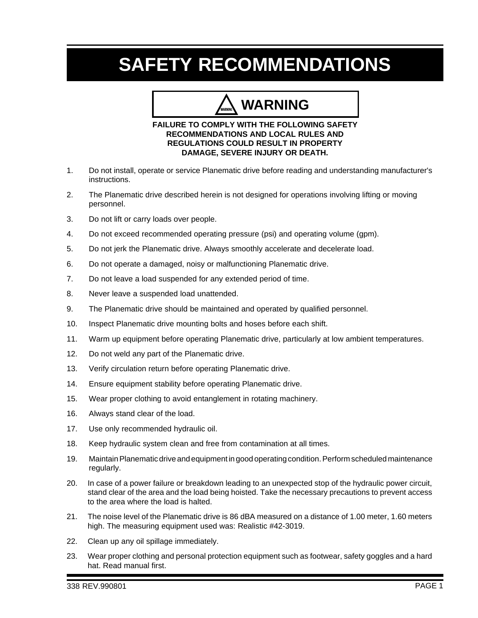### **SAFETY RECOMMENDATIONS**

### **WARNING**

#### **FAILURE TO COMPLY WITH THE FOLLOWING SAFETY RECOMMENDATIONS AND LOCAL RULES AND REGULATIONS COULD RESULT IN PROPERTY DAMAGE, SEVERE INJURY OR DEATH.**

- 1. Do not install, operate or service Planematic drive before reading and understanding manufacturer's instructions.
- 2. The Planematic drive described herein is not designed for operations involving lifting or moving personnel.
- 3. Do not lift or carry loads over people.
- 4. Do not exceed recommended operating pressure (psi) and operating volume (gpm).
- 5. Do not jerk the Planematic drive. Always smoothly accelerate and decelerate load.
- 6. Do not operate a damaged, noisy or malfunctioning Planematic drive.
- 7. Do not leave a load suspended for any extended period of time.
- 8. Never leave a suspended load unattended.
- 9. The Planematic drive should be maintained and operated by qualified personnel.
- 10. Inspect Planematic drive mounting bolts and hoses before each shift.
- 11. Warm up equipment before operating Planematic drive, particularly at low ambient temperatures.
- 12. Do not weld any part of the Planematic drive.
- 13. Verify circulation return before operating Planematic drive.
- 14. Ensure equipment stability before operating Planematic drive.
- 15. Wear proper clothing to avoid entanglement in rotating machinery.
- 16. Always stand clear of the load.
- 17. Use only recommended hydraulic oil.
- 18. Keep hydraulic system clean and free from contamination at all times.
- 19. Maintain Planematic drive and equipment in good operating condition. Perform scheduled maintenance regularly.
- 20. In case of a power failure or breakdown leading to an unexpected stop of the hydraulic power circuit, stand clear of the area and the load being hoisted. Take the necessary precautions to prevent access to the area where the load is halted.
- 21. The noise level of the Planematic drive is 86 dBA measured on a distance of 1.00 meter, 1.60 meters high. The measuring equipment used was: Realistic #42-3019.
- 22. Clean up any oil spillage immediately.
- 23. Wear proper clothing and personal protection equipment such as footwear, safety goggles and a hard hat. Read manual first.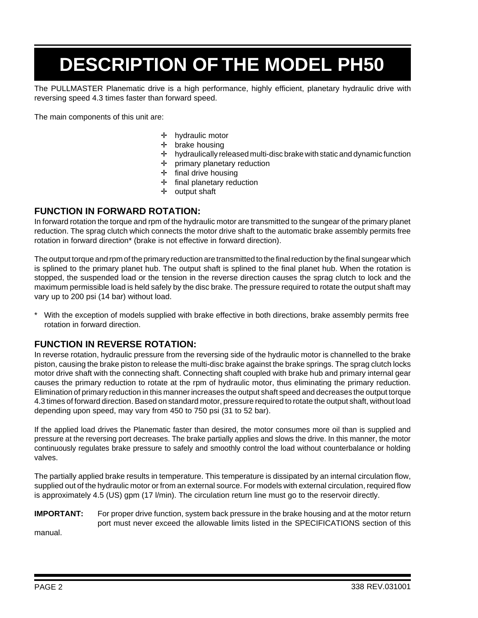# **DESCRIPTION OF THE MODEL PH50**

The PULLMASTER Planematic drive is a high performance, highly efficient, planetary hydraulic drive with reversing speed 4.3 times faster than forward speed.

The main components of this unit are:

- ✛ hydraulic motor
- ✛ brake housing
- ✛ hydraulically released multi-disc brake with static and dynamic function
- ✛ primary planetary reduction
- ✛ final drive housing
- ✛ final planetary reduction
- ✛ output shaft

#### **FUNCTION IN FORWARD ROTATION:**

In forward rotation the torque and rpm of the hydraulic motor are transmitted to the sungear of the primary planet reduction. The sprag clutch which connects the motor drive shaft to the automatic brake assembly permits free rotation in forward direction\* (brake is not effective in forward direction).

The output torque and rpm of the primary reduction are transmitted to the final reduction by the final sungear which is splined to the primary planet hub. The output shaft is splined to the final planet hub. When the rotation is stopped, the suspended load or the tension in the reverse direction causes the sprag clutch to lock and the maximum permissible load is held safely by the disc brake. The pressure required to rotate the output shaft may vary up to 200 psi (14 bar) without load.

With the exception of models supplied with brake effective in both directions, brake assembly permits free rotation in forward direction.

#### **FUNCTION IN REVERSE ROTATION:**

In reverse rotation, hydraulic pressure from the reversing side of the hydraulic motor is channelled to the brake piston, causing the brake piston to release the multi-disc brake against the brake springs. The sprag clutch locks motor drive shaft with the connecting shaft. Connecting shaft coupled with brake hub and primary internal gear causes the primary reduction to rotate at the rpm of hydraulic motor, thus eliminating the primary reduction. Elimination of primary reduction in this manner increases the output shaft speed and decreases the output torque 4.3 times of forward direction. Based on standard motor, pressure required to rotate the output shaft, without load depending upon speed, may vary from 450 to 750 psi (31 to 52 bar).

If the applied load drives the Planematic faster than desired, the motor consumes more oil than is supplied and pressure at the reversing port decreases. The brake partially applies and slows the drive. In this manner, the motor continuously regulates brake pressure to safely and smoothly control the load without counterbalance or holding valves.

The partially applied brake results in temperature. This temperature is dissipated by an internal circulation flow, supplied out of the hydraulic motor or from an external source. For models with external circulation, required flow is approximately 4.5 (US) gpm (17 l/min). The circulation return line must go to the reservoir directly.

#### **IMPORTANT:** For proper drive function, system back pressure in the brake housing and at the motor return port must never exceed the allowable limits listed in the SPECIFICATIONS section of this

manual.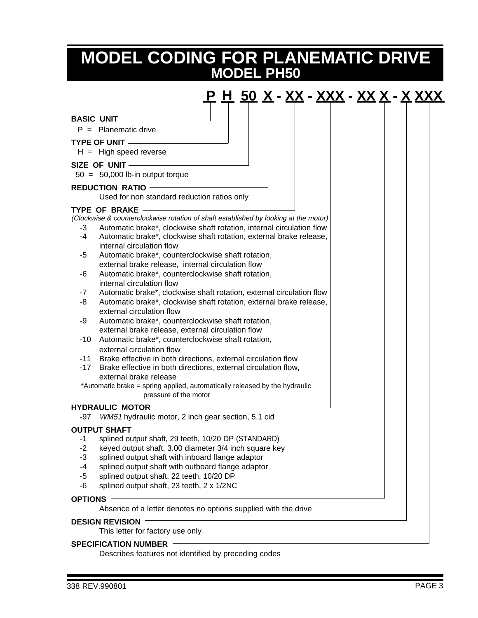### **MODEL PH50 MODEL CODING FOR PLANEMATIC DRIVE**

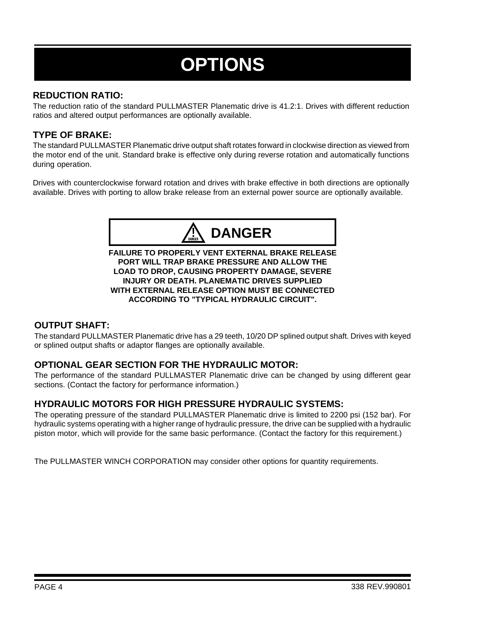# **OPTIONS**

#### **REDUCTION RATIO:**

The reduction ratio of the standard PULLMASTER Planematic drive is 41.2:1. Drives with different reduction ratios and altered output performances are optionally available.

#### **TYPE OF BRAKE:**

The standard PULLMASTER Planematic drive output shaft rotates forward in clockwise direction as viewed from the motor end of the unit. Standard brake is effective only during reverse rotation and automatically functions during operation.

Drives with counterclockwise forward rotation and drives with brake effective in both directions are optionally available. Drives with porting to allow brake release from an external power source are optionally available.



**FAILURE TO PROPERLY VENT EXTERNAL BRAKE RELEASE PORT WILL TRAP BRAKE PRESSURE AND ALLOW THE LOAD TO DROP, CAUSING PROPERTY DAMAGE, SEVERE INJURY OR DEATH. PLANEMATIC DRIVES SUPPLIED WITH EXTERNAL RELEASE OPTION MUST BE CONNECTED ACCORDING TO "TYPICAL HYDRAULIC CIRCUIT".**

#### **OUTPUT SHAFT:**

The standard PULLMASTER Planematic drive has a 29 teeth, 10/20 DP splined output shaft. Drives with keyed or splined output shafts or adaptor flanges are optionally available.

#### **OPTIONAL GEAR SECTION FOR THE HYDRAULIC MOTOR:**

The performance of the standard PULLMASTER Planematic drive can be changed by using different gear sections. (Contact the factory for performance information.)

#### **HYDRAULIC MOTORS FOR HIGH PRESSURE HYDRAULIC SYSTEMS:**

The operating pressure of the standard PULLMASTER Planematic drive is limited to 2200 psi (152 bar). For hydraulic systems operating with a higher range of hydraulic pressure, the drive can be supplied with a hydraulic piston motor, which will provide for the same basic performance. (Contact the factory for this requirement.)

The PULLMASTER WINCH CORPORATION may consider other options for quantity requirements.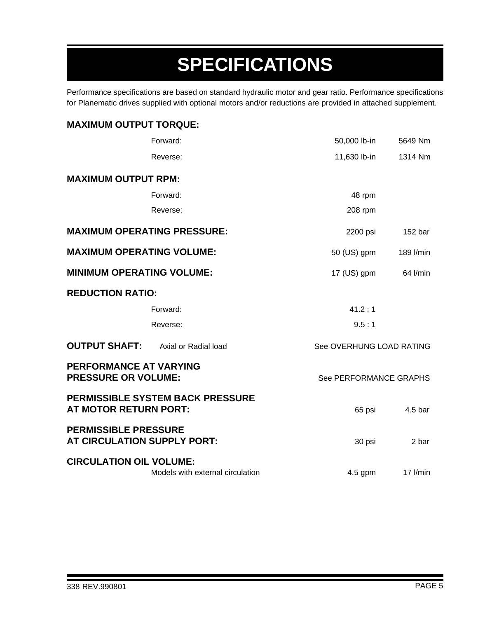# **SPECIFICATIONS**

Performance specifications are based on standard hydraulic motor and gear ratio. Performance specifications for Planematic drives supplied with optional motors and/or reductions are provided in attached supplement.

| <b>MAXIMUM OUTPUT TORQUE:</b>                              |                                         |                          |                    |
|------------------------------------------------------------|-----------------------------------------|--------------------------|--------------------|
|                                                            | Forward:                                | 50,000 lb-in             | 5649 Nm            |
|                                                            | Reverse:                                | 11,630 lb-in             | 1314 Nm            |
| <b>MAXIMUM OUTPUT RPM:</b>                                 |                                         |                          |                    |
|                                                            | Forward:                                | 48 rpm                   |                    |
|                                                            | Reverse:                                | 208 rpm                  |                    |
| <b>MAXIMUM OPERATING PRESSURE:</b>                         |                                         | 2200 psi                 | 152 <sub>bar</sub> |
| <b>MAXIMUM OPERATING VOLUME:</b>                           |                                         | 50 (US) gpm              | 189 l/min          |
| <b>MINIMUM OPERATING VOLUME:</b>                           |                                         | $17$ (US) gpm            | 64 l/min           |
| <b>REDUCTION RATIO:</b>                                    |                                         |                          |                    |
|                                                            | Forward:                                | 41.2:1                   |                    |
|                                                            | Reverse:                                | 9.5:1                    |                    |
| <b>OUTPUT SHAFT:</b>                                       | Axial or Radial load                    | See OVERHUNG LOAD RATING |                    |
| PERFORMANCE AT VARYING<br><b>PRESSURE OR VOLUME:</b>       |                                         | See PERFORMANCE GRAPHS   |                    |
| <b>AT MOTOR RETURN PORT:</b>                               | <b>PERMISSIBLE SYSTEM BACK PRESSURE</b> | 65 psi                   | 4.5 bar            |
| <b>PERMISSIBLE PRESSURE</b><br>AT CIRCULATION SUPPLY PORT: |                                         | 30 psi                   | 2 bar              |
| <b>CIRCULATION OIL VOLUME:</b>                             | Models with external circulation        | $4.5$ gpm                | $17$ I/min         |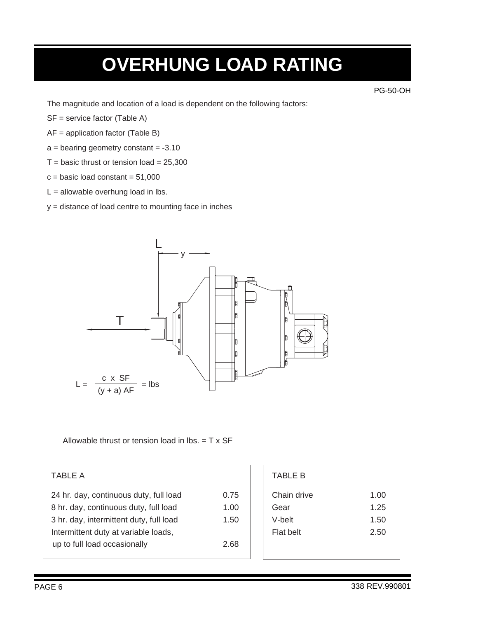### **OVERHUNG LOAD RATING**

PG-50-OH

The magnitude and location of a load is dependent on the following factors:

- SF = service factor (Table A)
- AF = application factor (Table B)
- $a =$  bearing geometry constant =  $-3.10$
- $T =$  basic thrust or tension load = 25,300
- $c = basic load constant = 51,000$
- $L =$  allowable overhung load in lbs.

y = distance of load centre to mounting face in inches



Allowable thrust or tension load in lbs.  $= T \times SF$ 

| 0.75 |
|------|
| 1.00 |
| 1.50 |
|      |
| 2.68 |
|      |

| TABLE A                                 |      | <b>TABLE B</b>   |      |
|-----------------------------------------|------|------------------|------|
| 24 hr. day, continuous duty, full load  | 0.75 | Chain drive      | 1.00 |
| 8 hr. day, continuous duty, full load   | 1.00 | Gear             | 1.25 |
| 3 hr. day, intermittent duty, full load | 1.50 | V-belt           | 1.50 |
| Intermittent duty at variable loads,    |      | <b>Flat belt</b> | 2.50 |
| up to full load occasionally            | 2.68 |                  |      |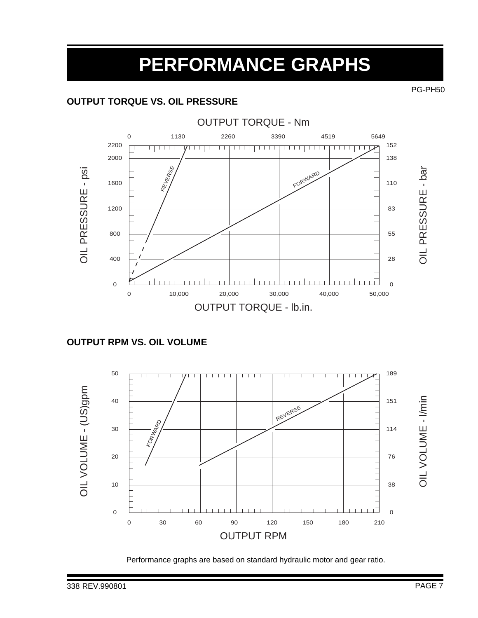### **PERFORMANCE GRAPHS**

#### **OUTPUT TORQUE VS. OIL PRESSURE**



#### **OUTPUT RPM VS. OIL VOLUME**



Performance graphs are based on standard hydraulic motor and gear ratio.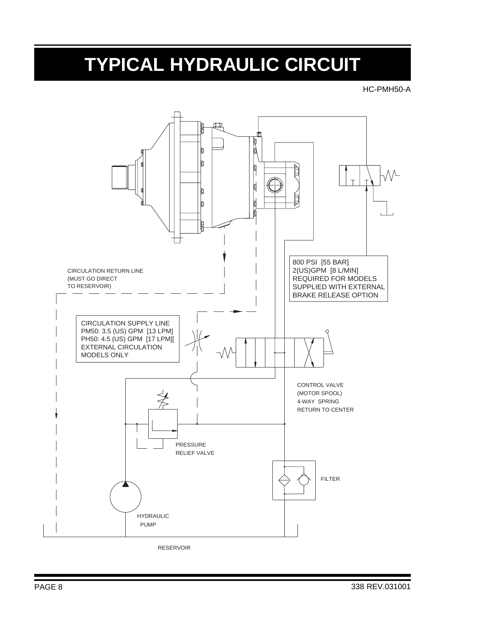## **TYPICAL HYDRAULIC CIRCUIT**

HC-PMH50-A



RESERVOIR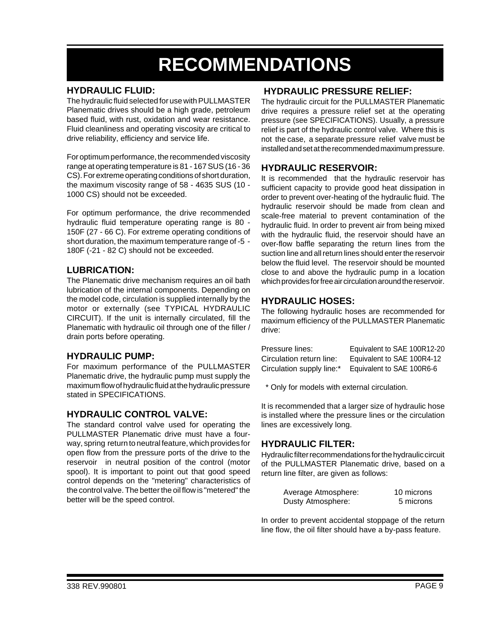### **RECOMMENDATIONS**

#### **HYDRAULIC FLUID:**

The hydraulic fluid selected for use with PULLMASTER Planematic drives should be a high grade, petroleum based fluid, with rust, oxidation and wear resistance. Fluid cleanliness and operating viscosity are critical to drive reliability, efficiency and service life.

For optimum performance, the recommended viscosity range at operating temperature is 81 - 167 SUS (16 - 36 CS). For extreme operating conditions of short duration, the maximum viscosity range of 58 - 4635 SUS (10 - 1000 CS) should not be exceeded.

For optimum performance, the drive recommended hydraulic fluid temperature operating range is 80 - 150F (27 - 66 C). For extreme operating conditions of short duration, the maximum temperature range of -5 - 180F (-21 - 82 C) should not be exceeded.

#### **LUBRICATION:**

The Planematic drive mechanism requires an oil bath lubrication of the internal components. Depending on the model code, circulation is supplied internally by the motor or externally (see TYPICAL HYDRAULIC CIRCUIT). If the unit is internally circulated, fill the Planematic with hydraulic oil through one of the filler / drain ports before operating.

#### **HYDRAULIC PUMP:**

For maximum performance of the PULLMASTER Planematic drive, the hydraulic pump must supply the maximum flow of hydraulic fluid at the hydraulic pressure stated in SPECIFICATIONS.

#### **HYDRAULIC CONTROL VALVE:**

The standard control valve used for operating the PULLMASTER Planematic drive must have a fourway, spring return to neutral feature, which provides for open flow from the pressure ports of the drive to the reservoir in neutral position of the control (motor spool). It is important to point out that good speed control depends on the "metering" characteristics of the control valve. The better the oil flow is "metered" the better will be the speed control.

#### **HYDRAULIC PRESSURE RELIEF:**

The hydraulic circuit for the PULLMASTER Planematic drive requires a pressure relief set at the operating pressure (see SPECIFICATIONS). Usually, a pressure relief is part of the hydraulic control valve. Where this is not the case, a separate pressure relief valve must be installed and set at the recommended maximum pressure.

#### **HYDRAULIC RESERVOIR:**

It is recommended that the hydraulic reservoir has sufficient capacity to provide good heat dissipation in order to prevent over-heating of the hydraulic fluid. The hydraulic reservoir should be made from clean and scale-free material to prevent contamination of the hydraulic fluid. In order to prevent air from being mixed with the hydraulic fluid, the reservoir should have an over-flow baffle separating the return lines from the suction line and all return lines should enter the reservoir below the fluid level. The reservoir should be mounted close to and above the hydraulic pump in a location which provides for free air circulation around the reservoir.

#### **HYDRAULIC HOSES:**

The following hydraulic hoses are recommended for maximum efficiency of the PULLMASTER Planematic drive:

| Pressure lines:           | Equivalent to SAE 100R12-20 |
|---------------------------|-----------------------------|
| Circulation return line:  | Equivalent to SAE 100R4-12  |
| Circulation supply line:* | Equivalent to SAE 100R6-6   |

\* Only for models with external circulation.

It is recommended that a larger size of hydraulic hose is installed where the pressure lines or the circulation lines are excessively long.

#### **HYDRAULIC FILTER:**

Hydraulic filter recommendations for the hydraulic circuit of the PULLMASTER Planematic drive, based on a return line filter, are given as follows:

| Average Atmosphere: | 10 microns |
|---------------------|------------|
| Dusty Atmosphere:   | 5 microns  |

In order to prevent accidental stoppage of the return line flow, the oil filter should have a by-pass feature.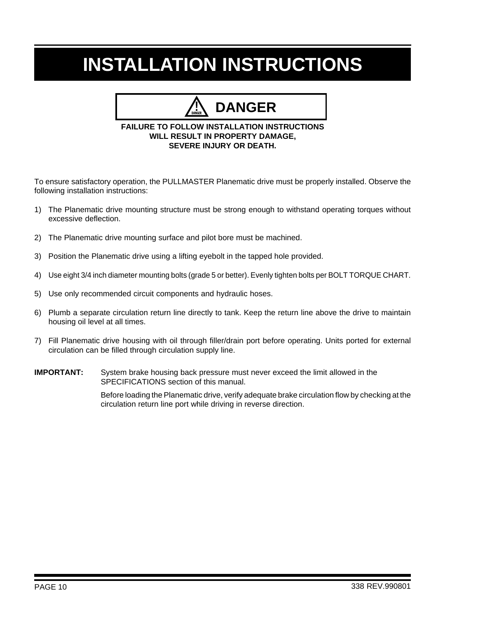## **INSTALLATION INSTRUCTIONS**

### **DANGER**

#### **FAILURE TO FOLLOW INSTALLATION INSTRUCTIONS WILL RESULT IN PROPERTY DAMAGE, SEVERE INJURY OR DEATH.**

To ensure satisfactory operation, the PULLMASTER Planematic drive must be properly installed. Observe the following installation instructions:

- 1) The Planematic drive mounting structure must be strong enough to withstand operating torques without excessive deflection.
- 2) The Planematic drive mounting surface and pilot bore must be machined.
- 3) Position the Planematic drive using a lifting eyebolt in the tapped hole provided.
- 4) Use eight 3/4 inch diameter mounting bolts (grade 5 or better). Evenly tighten bolts per BOLT TORQUE CHART.
- 5) Use only recommended circuit components and hydraulic hoses.
- 6) Plumb a separate circulation return line directly to tank. Keep the return line above the drive to maintain housing oil level at all times.
- 7) Fill Planematic drive housing with oil through filler/drain port before operating. Units ported for external circulation can be filled through circulation supply line.
- **IMPORTANT:** System brake housing back pressure must never exceed the limit allowed in the SPECIFICATIONS section of this manual.

Before loading the Planematic drive, verify adequate brake circulation flow by checking at the circulation return line port while driving in reverse direction.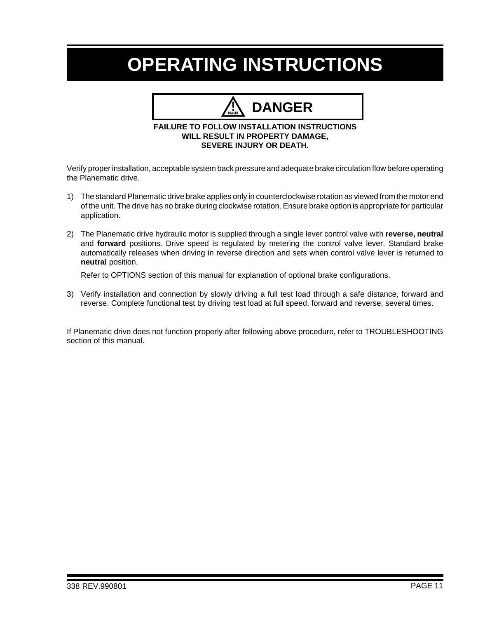### **OPERATING INSTRUCTIONS**

## **DANGER**

#### **FAILURE TO FOLLOW INSTALLATION INSTRUCTIONS WILL RESULT IN PROPERTY DAMAGE, SEVERE INJURY OR DEATH.**

Verify proper installation, acceptable system back pressure and adequate brake circulation flow before operating the Planematic drive.

- 1) The standard Planematic drive brake applies only in counterclockwise rotation as viewed from the motor end of the unit. The drive has no brake during clockwise rotation. Ensure brake option is appropriate for particular application.
- 2) The Planematic drive hydraulic motor is supplied through a single lever control valve with **reverse, neutral** and **forward** positions. Drive speed is regulated by metering the control valve lever. Standard brake automatically releases when driving in reverse direction and sets when control valve lever is returned to **neutral** position.

Refer to OPTIONS section of this manual for explanation of optional brake configurations.

3) Verify installation and connection by slowly driving a full test load through a safe distance, forward and reverse. Complete functional test by driving test load at full speed, forward and reverse, several times.

If Planematic drive does not function properly after following above procedure, refer to TROUBLESHOOTING section of this manual.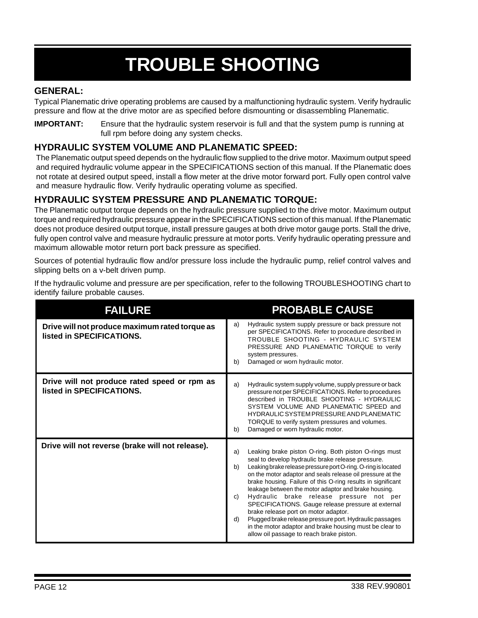# **TROUBLE SHOOTING**

#### **GENERAL:**

Typical Planematic drive operating problems are caused by a malfunctioning hydraulic system. Verify hydraulic pressure and flow at the drive motor are as specified before dismounting or disassembling Planematic.

**IMPORTANT:** Ensure that the hydraulic system reservoir is full and that the system pump is running at full rpm before doing any system checks.

#### **HYDRAULIC SYSTEM VOLUME AND PLANEMATIC SPEED:**

The Planematic output speed depends on the hydraulic flow supplied to the drive motor. Maximum output speed and required hydraulic volume appear in the SPECIFICATIONS section of this manual. If the Planematic does not rotate at desired output speed, install a flow meter at the drive motor forward port. Fully open control valve and measure hydraulic flow. Verify hydraulic operating volume as specified.

#### **HYDRAULIC SYSTEM PRESSURE AND PLANEMATIC TORQUE:**

The Planematic output torque depends on the hydraulic pressure supplied to the drive motor. Maximum output torque and required hydraulic pressure appear in the SPECIFICATIONS section of this manual. If the Planematic does not produce desired output torque, install pressure gauges at both drive motor gauge ports. Stall the drive, fully open control valve and measure hydraulic pressure at motor ports. Verify hydraulic operating pressure and maximum allowable motor return port back pressure as specified.

Sources of potential hydraulic flow and/or pressure loss include the hydraulic pump, relief control valves and slipping belts on a v-belt driven pump.

If the hydraulic volume and pressure are per specification, refer to the following TROUBLESHOOTING chart to identify failure probable causes.

| <b>FAILURE</b>                                                              | <b>PROBABLE CAUSE</b>                                                                                                                                                                                                                                                                                                                                                                                                                                                                                                                                                                                                                                                                                 |
|-----------------------------------------------------------------------------|-------------------------------------------------------------------------------------------------------------------------------------------------------------------------------------------------------------------------------------------------------------------------------------------------------------------------------------------------------------------------------------------------------------------------------------------------------------------------------------------------------------------------------------------------------------------------------------------------------------------------------------------------------------------------------------------------------|
| Drive will not produce maximum rated torque as<br>listed in SPECIFICATIONS. | Hydraulic system supply pressure or back pressure not<br>a)<br>per SPECIFICATIONS. Refer to procedure described in<br>TROUBLE SHOOTING - HYDRAULIC SYSTEM<br>PRESSURE AND PLANEMATIC TORQUE to verify<br>system pressures.<br>Damaged or worn hydraulic motor.<br>b)                                                                                                                                                                                                                                                                                                                                                                                                                                  |
| Drive will not produce rated speed or rpm as<br>listed in SPECIFICATIONS.   | Hydraulic system supply volume, supply pressure or back<br>a)<br>pressure not per SPECIFICATIONS. Refer to procedures<br>described in TROUBLE SHOOTING - HYDRAULIC<br>SYSTEM VOLUME AND PLANEMATIC SPEED and<br><b>HYDRAULIC SYSTEM PRESSURE AND PLANEMATIC</b><br>TORQUE to verify system pressures and volumes.<br>Damaged or worn hydraulic motor.<br>b)                                                                                                                                                                                                                                                                                                                                           |
| Drive will not reverse (brake will not release).                            | Leaking brake piston O-ring. Both piston O-rings must<br>a)<br>seal to develop hydraulic brake release pressure.<br>Leaking brake release pressure port O-ring. O-ring is located<br>b)<br>on the motor adaptor and seals release oil pressure at the<br>brake housing. Failure of this O-ring results in significant<br>leakage between the motor adaptor and brake housing.<br>Hydraulic brake release pressure not per<br>C)<br>SPECIFICATIONS. Gauge release pressure at external<br>brake release port on motor adaptor.<br>Plugged brake release pressure port. Hydraulic passages<br>d)<br>in the motor adaptor and brake housing must be clear to<br>allow oil passage to reach brake piston. |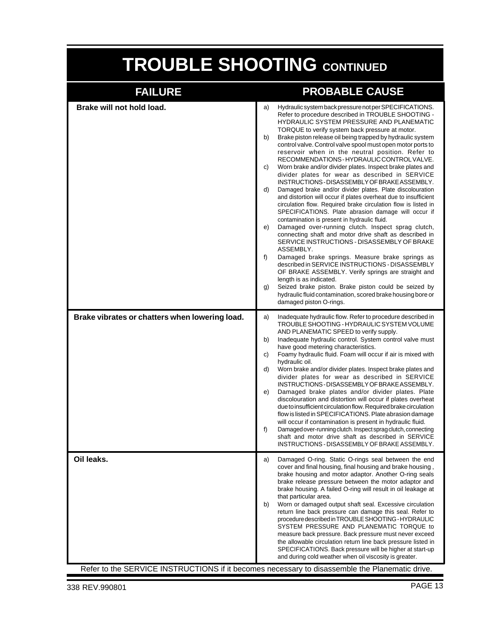# **TROUBLE SHOOTING CONTINUED**

| <b>FAILURE</b>                                 | <b>PROBABLE CAUSE</b>                                                                                                                                                                                                                                                                                                                                                                                                                                                                                                                                                                                                                                                                                                                                                                                                                                                                                                                                                                                                                                                                                                                                                                                                                                                                                                                                                                                                                                                             |
|------------------------------------------------|-----------------------------------------------------------------------------------------------------------------------------------------------------------------------------------------------------------------------------------------------------------------------------------------------------------------------------------------------------------------------------------------------------------------------------------------------------------------------------------------------------------------------------------------------------------------------------------------------------------------------------------------------------------------------------------------------------------------------------------------------------------------------------------------------------------------------------------------------------------------------------------------------------------------------------------------------------------------------------------------------------------------------------------------------------------------------------------------------------------------------------------------------------------------------------------------------------------------------------------------------------------------------------------------------------------------------------------------------------------------------------------------------------------------------------------------------------------------------------------|
| Brake will not hold load.                      | Hydraulic system back pressure not per SPECIFICATIONS.<br>a)<br>Refer to procedure described in TROUBLE SHOOTING -<br>HYDRAULIC SYSTEM PRESSURE AND PLANEMATIC<br>TORQUE to verify system back pressure at motor.<br>Brake piston release oil being trapped by hydraulic system<br>b)<br>control valve. Control valve spool must open motor ports to<br>reservoir when in the neutral position. Refer to<br>RECOMMENDATIONS-HYDRAULIC CONTROL VALVE.<br>Worn brake and/or divider plates. Inspect brake plates and<br>C)<br>divider plates for wear as described in SERVICE<br>INSTRUCTIONS-DISASSEMBLY OF BRAKE ASSEMBLY.<br>Damaged brake and/or divider plates. Plate discolouration<br>d)<br>and distortion will occur if plates overheat due to insufficient<br>circulation flow. Required brake circulation flow is listed in<br>SPECIFICATIONS. Plate abrasion damage will occur if<br>contamination is present in hydraulic fluid.<br>Damaged over-running clutch. Inspect sprag clutch,<br>e)<br>connecting shaft and motor drive shaft as described in<br>SERVICE INSTRUCTIONS - DISASSEMBLY OF BRAKE<br>ASSEMBLY.<br>f)<br>Damaged brake springs. Measure brake springs as<br>described in SERVICE INSTRUCTIONS - DISASSEMBLY<br>OF BRAKE ASSEMBLY. Verify springs are straight and<br>length is as indicated.<br>Seized brake piston. Brake piston could be seized by<br>g)<br>hydraulic fluid contamination, scored brake housing bore or<br>damaged piston O-rings. |
| Brake vibrates or chatters when lowering load. | Inadequate hydraulic flow. Refer to procedure described in<br>a)<br>TROUBLE SHOOTING - HYDRAULIC SYSTEM VOLUME<br>AND PLANEMATIC SPEED to verify supply.<br>Inadequate hydraulic control. System control valve must<br>b)<br>have good metering characteristics.<br>Foamy hydraulic fluid. Foam will occur if air is mixed with<br>C)<br>hydraulic oil.<br>d)<br>Worn brake and/or divider plates. Inspect brake plates and<br>divider plates for wear as described in SERVICE<br>INSTRUCTIONS-DISASSEMBLY OF BRAKE ASSEMBLY.<br>Damaged brake plates and/or divider plates. Plate<br>e)<br>discolouration and distortion will occur if plates overheat<br>due to insufficient circulation flow. Required brake circulation<br>flow is listed in SPECIFICATIONS. Plate abrasion damage<br>will occur if contamination is present in hydraulic fluid.<br>Damaged over-running clutch. Inspect sprag clutch, connecting<br>f)<br>shaft and motor drive shaft as described in SERVICE<br>INSTRUCTIONS - DISASSEMBLY OF BRAKE ASSEMBLY.                                                                                                                                                                                                                                                                                                                                                                                                                                               |
| Oil leaks.                                     | Damaged O-ring. Static O-rings seal between the end<br>a)<br>cover and final housing, final housing and brake housing,<br>brake housing and motor adaptor. Another O-ring seals<br>brake release pressure between the motor adaptor and<br>brake housing. A failed O-ring will result in oil leakage at<br>that particular area.<br>Worn or damaged output shaft seal. Excessive circulation<br>b)<br>return line back pressure can damage this seal. Refer to<br>procedure described in TROUBLE SHOOTING - HYDRAULIC<br>SYSTEM PRESSURE AND PLANEMATIC TORQUE to<br>measure back pressure. Back pressure must never exceed<br>the allowable circulation return line back pressure listed in<br>SPECIFICATIONS. Back pressure will be higher at start-up<br>and during cold weather when oil viscosity is greater.<br>Refer to the SERVICE INSTRUCTIONS if it becomes necessary to disassemble the Planematic drive.                                                                                                                                                                                                                                                                                                                                                                                                                                                                                                                                                              |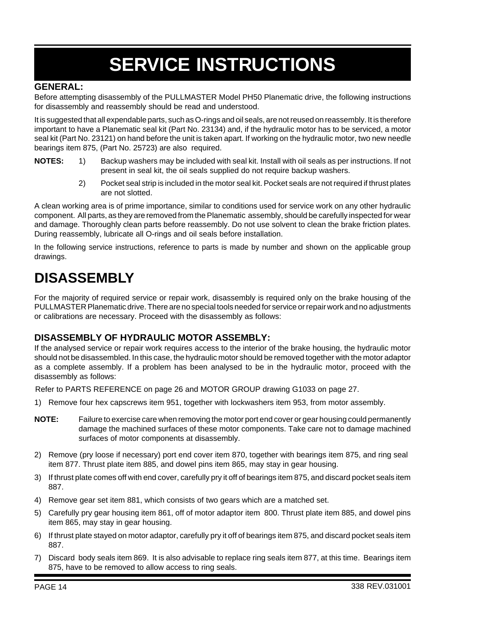# **SERVICE INSTRUCTIONS**

#### **GENERAL:**

Before attempting disassembly of the PULLMASTER Model PH50 Planematic drive, the following instructions for disassembly and reassembly should be read and understood.

It is suggested that all expendable parts, such as O-rings and oil seals, are not reused on reassembly. It is therefore important to have a Planematic seal kit (Part No. 23134) and, if the hydraulic motor has to be serviced, a motor seal kit (Part No. 23121) on hand before the unit is taken apart. If working on the hydraulic motor, two new needle bearings item 875, (Part No. 25723) are also required.

- **NOTES:** 1) Backup washers may be included with seal kit. Install with oil seals as per instructions. If not present in seal kit, the oil seals supplied do not require backup washers.
	- 2) Pocket seal strip is included in the motor seal kit. Pocket seals are not required if thrust plates are not slotted.

A clean working area is of prime importance, similar to conditions used for service work on any other hydraulic component. All parts, as they are removed from the Planematic assembly, should be carefully inspected for wear and damage. Thoroughly clean parts before reassembly. Do not use solvent to clean the brake friction plates. During reassembly, lubricate all O-rings and oil seals before installation.

In the following service instructions, reference to parts is made by number and shown on the applicable group drawings.

### **DISASSEMBLY**

For the majority of required service or repair work, disassembly is required only on the brake housing of the PULLMASTER Planematic drive. There are no special tools needed for service or repair work and no adjustments or calibrations are necessary. Proceed with the disassembly as follows:

#### **DISASSEMBLY OF HYDRAULIC MOTOR ASSEMBLY:**

If the analysed service or repair work requires access to the interior of the brake housing, the hydraulic motor should not be disassembled. In this case, the hydraulic motor should be removed together with the motor adaptor as a complete assembly. If a problem has been analysed to be in the hydraulic motor, proceed with the disassembly as follows:

Refer to PARTS REFERENCE on page 26 and MOTOR GROUP drawing G1033 on page 27.

- 1) Remove four hex capscrews item 951, together with lockwashers item 953, from motor assembly.
- **NOTE:** Failure to exercise care when removing the motor port end cover or gear housing could permanently damage the machined surfaces of these motor components. Take care not to damage machined surfaces of motor components at disassembly.
- 2) Remove (pry loose if necessary) port end cover item 870, together with bearings item 875, and ring seal item 877. Thrust plate item 885, and dowel pins item 865, may stay in gear housing.
- 3) If thrust plate comes off with end cover, carefully pry it off of bearings item 875, and discard pocket seals item 887.
- 4) Remove gear set item 881, which consists of two gears which are a matched set.
- 5) Carefully pry gear housing item 861, off of motor adaptor item 800. Thrust plate item 885, and dowel pins item 865, may stay in gear housing.
- 6) If thrust plate stayed on motor adaptor, carefully pry it off of bearings item 875, and discard pocket seals item 887.
- 7) Discard body seals item 869. It is also advisable to replace ring seals item 877, at this time. Bearings item 875, have to be removed to allow access to ring seals.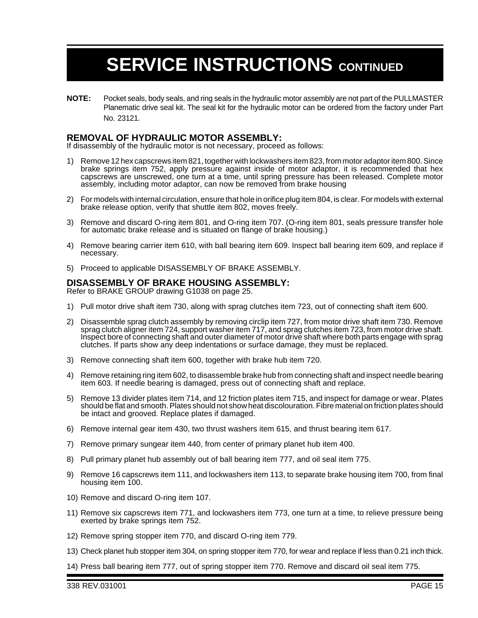**NOTE:** Pocket seals, body seals, and ring seals in the hydraulic motor assembly are not part of the PULLMASTER Planematic drive seal kit. The seal kit for the hydraulic motor can be ordered from the factory under Part No. 23121.

#### **REMOVAL OF HYDRAULIC MOTOR ASSEMBLY:**

If disassembly of the hydraulic motor is not necessary, proceed as follows:

- 1) Remove 12 hex capscrews item 821, together with lockwashers item 823, from motor adaptor item 800. Since brake springs item 752, apply pressure against inside of motor adaptor, it is recommended that hex capscrews are unscrewed, one turn at a time, until spring pressure has been released. Complete motor assembly, including motor adaptor, can now be removed from brake housing
- 2) For models with internal circulation, ensure that hole in orifice plug item 804, is clear. For models with external brake release option, verify that shuttle item 802, moves freely.
- 3) Remove and discard O-ring item 801, and O-ring item 707. (O-ring item 801, seals pressure transfer hole for automatic brake release and is situated on flange of brake housing.)
- 4) Remove bearing carrier item 610, with ball bearing item 609. Inspect ball bearing item 609, and replace if necessary.
- 5) Proceed to applicable DISASSEMBLY OF BRAKE ASSEMBLY.

#### **DISASSEMBLY OF BRAKE HOUSING ASSEMBLY:**

Refer to BRAKE GROUP drawing G1038 on page 25.

- 1) Pull motor drive shaft item 730, along with sprag clutches item 723, out of connecting shaft item 600.
- 2) Disassemble sprag clutch assembly by removing circlip item 727, from motor drive shaft item 730. Remove sprag clutch aligner item 724, support washer item 717, and sprag clutches item 723, from motor drive shaft. Inspect bore of connecting shaft and outer diameter of motor drive shaft where both parts engage with sprag clutches. If parts show any deep indentations or surface damage, they must be replaced.
- 3) Remove connecting shaft item 600, together with brake hub item 720.
- 4) Remove retaining ring item 602, to disassemble brake hub from connecting shaft and inspect needle bearing item 603. If needle bearing is damaged, press out of connecting shaft and replace.
- 5) Remove 13 divider plates item 714, and 12 friction plates item 715, and inspect for damage or wear. Plates should be flat and smooth. Plates should not show heat discolouration. Fibre material on friction plates should be intact and grooved. Replace plates if damaged.
- 6) Remove internal gear item 430, two thrust washers item 615, and thrust bearing item 617.
- 7) Remove primary sungear item 440, from center of primary planet hub item 400.
- 8) Pull primary planet hub assembly out of ball bearing item 777, and oil seal item 775.
- 9) Remove 16 capscrews item 111, and lockwashers item 113, to separate brake housing item 700, from final housing item 100.
- 10) Remove and discard O-ring item 107.
- 11) Remove six capscrews item 771, and lockwashers item 773, one turn at a time, to relieve pressure being exerted by brake springs item 752.
- 12) Remove spring stopper item 770, and discard O-ring item 779.
- 13) Check planet hub stopper item 304, on spring stopper item 770, for wear and replace if less than 0.21 inch thick.
- 14) Press ball bearing item 777, out of spring stopper item 770. Remove and discard oil seal item 775.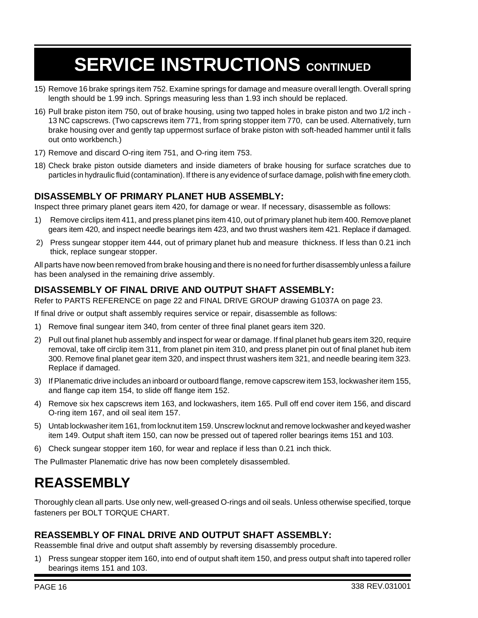- 15) Remove 16 brake springs item 752. Examine springs for damage and measure overall length. Overall spring length should be 1.99 inch. Springs measuring less than 1.93 inch should be replaced.
- 16) Pull brake piston item 750, out of brake housing, using two tapped holes in brake piston and two 1/2 inch 13 NC capscrews. (Two capscrews item 771, from spring stopper item 770, can be used. Alternatively, turn brake housing over and gently tap uppermost surface of brake piston with soft-headed hammer until it falls out onto workbench.)
- 17) Remove and discard O-ring item 751, and O-ring item 753.
- 18) Check brake piston outside diameters and inside diameters of brake housing for surface scratches due to particles in hydraulic fluid (contamination). If there is any evidence of surface damage, polish with fine emery cloth.

#### **DISASSEMBLY OF PRIMARY PLANET HUB ASSEMBLY:**

Inspect three primary planet gears item 420, for damage or wear. If necessary, disassemble as follows:

- 1) Remove circlips item 411, and press planet pins item 410, out of primary planet hub item 400. Remove planet gears item 420, and inspect needle bearings item 423, and two thrust washers item 421. Replace if damaged.
- 2) Press sungear stopper item 444, out of primary planet hub and measure thickness. If less than 0.21 inch thick, replace sungear stopper.

All parts have now been removed from brake housing and there is no need for further disassembly unless a failure has been analysed in the remaining drive assembly.

#### **DISASSEMBLY OF FINAL DRIVE AND OUTPUT SHAFT ASSEMBLY:**

Refer to PARTS REFERENCE on page 22 and FINAL DRIVE GROUP drawing G1037A on page 23.

If final drive or output shaft assembly requires service or repair, disassemble as follows:

- 1) Remove final sungear item 340, from center of three final planet gears item 320.
- 2) Pull out final planet hub assembly and inspect for wear or damage. If final planet hub gears item 320, require removal, take off circlip item 311, from planet pin item 310, and press planet pin out of final planet hub item 300. Remove final planet gear item 320, and inspect thrust washers item 321, and needle bearing item 323. Replace if damaged.
- 3) If Planematic drive includes an inboard or outboard flange, remove capscrew item 153, lockwasher item 155, and flange cap item 154, to slide off flange item 152.
- 4) Remove six hex capscrews item 163, and lockwashers, item 165. Pull off end cover item 156, and discard O-ring item 167, and oil seal item 157.
- 5) Untab lockwasher item 161, from locknut item 159. Unscrew locknut and remove lockwasher and keyed washer item 149. Output shaft item 150, can now be pressed out of tapered roller bearings items 151 and 103.
- 6) Check sungear stopper item 160, for wear and replace if less than 0.21 inch thick.

The Pullmaster Planematic drive has now been completely disassembled.

### **REASSEMBLY**

Thoroughly clean all parts. Use only new, well-greased O-rings and oil seals. Unless otherwise specified, torque fasteners per BOLT TORQUE CHART.

#### **REASSEMBLY OF FINAL DRIVE AND OUTPUT SHAFT ASSEMBLY:**

Reassemble final drive and output shaft assembly by reversing disassembly procedure.

1) Press sungear stopper item 160, into end of output shaft item 150, and press output shaft into tapered roller bearings items 151 and 103.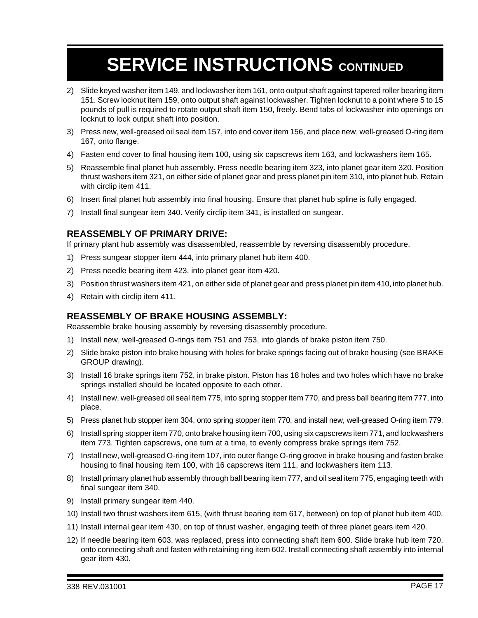- 2) Slide keyed washer item 149, and lockwasher item 161, onto output shaft against tapered roller bearing item 151. Screw locknut item 159, onto output shaft against lockwasher. Tighten locknut to a point where 5 to 15 pounds of pull is required to rotate output shaft item 150, freely. Bend tabs of lockwasher into openings on locknut to lock output shaft into position.
- 3) Press new, well-greased oil seal item 157, into end cover item 156, and place new, well-greased O-ring item 167, onto flange.
- 4) Fasten end cover to final housing item 100, using six capscrews item 163, and lockwashers item 165.
- 5) Reassemble final planet hub assembly. Press needle bearing item 323, into planet gear item 320. Position thrust washers item 321, on either side of planet gear and press planet pin item 310, into planet hub. Retain with circlip item 411.
- 6) Insert final planet hub assembly into final housing. Ensure that planet hub spline is fully engaged.
- 7) Install final sungear item 340. Verify circlip item 341, is installed on sungear.

#### **REASSEMBLY OF PRIMARY DRIVE:**

If primary plant hub assembly was disassembled, reassemble by reversing disassembly procedure.

- 1) Press sungear stopper item 444, into primary planet hub item 400.
- 2) Press needle bearing item 423, into planet gear item 420.
- 3) Position thrust washers item 421, on either side of planet gear and press planet pin item 410, into planet hub.
- 4) Retain with circlip item 411.

#### **REASSEMBLY OF BRAKE HOUSING ASSEMBLY:**

Reassemble brake housing assembly by reversing disassembly procedure.

- 1) Install new, well-greased O-rings item 751 and 753, into glands of brake piston item 750.
- 2) Slide brake piston into brake housing with holes for brake springs facing out of brake housing (see BRAKE GROUP drawing).
- 3) Install 16 brake springs item 752, in brake piston. Piston has 18 holes and two holes which have no brake springs installed should be located opposite to each other.
- 4) Install new, well-greased oil seal item 775, into spring stopper item 770, and press ball bearing item 777, into place.
- 5) Press planet hub stopper item 304, onto spring stopper item 770, and install new, well-greased O-ring item 779.
- 6) Install spring stopper item 770, onto brake housing item 700, using six capscrews item 771, and lockwashers item 773. Tighten capscrews, one turn at a time, to evenly compress brake springs item 752.
- 7) Install new, well-greased O-ring item 107, into outer flange O-ring groove in brake housing and fasten brake housing to final housing item 100, with 16 capscrews item 111, and lockwashers item 113.
- 8) Install primary planet hub assembly through ball bearing item 777, and oil seal item 775, engaging teeth with final sungear item 340.
- 9) Install primary sungear item 440.
- 10) Install two thrust washers item 615, (with thrust bearing item 617, between) on top of planet hub item 400.
- 11) Install internal gear item 430, on top of thrust washer, engaging teeth of three planet gears item 420.
- 12) If needle bearing item 603, was replaced, press into connecting shaft item 600. Slide brake hub item 720, onto connecting shaft and fasten with retaining ring item 602. Install connecting shaft assembly into internal gear item 430.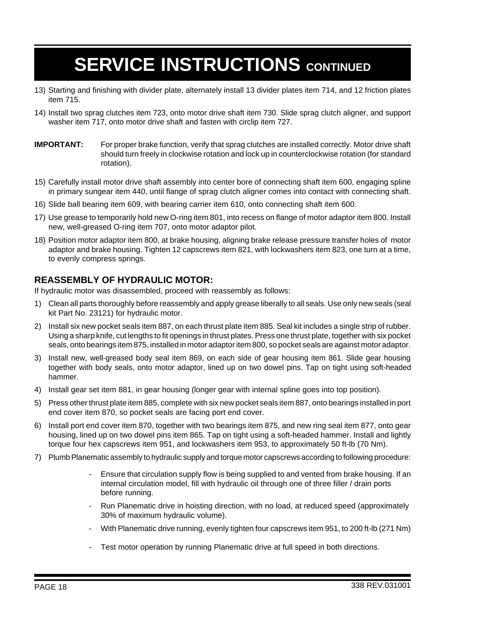- 13) Starting and finishing with divider plate, alternately install 13 divider plates item 714, and 12 friction plates item 715.
- 14) Install two sprag clutches item 723, onto motor drive shaft item 730. Slide sprag clutch aligner, and support washer item 717, onto motor drive shaft and fasten with circlip item 727.
- **IMPORTANT:** For proper brake function, verify that sprag clutches are installed correctly. Motor drive shaft should turn freely in clockwise rotation and lock up in counterclockwise rotation (for standard rotation).
- 15) Carefully install motor drive shaft assembly into center bore of connecting shaft item 600, engaging spline in primary sungear item 440, until flange of sprag clutch aligner comes into contact with connecting shaft.
- 16) Slide ball bearing item 609, with bearing carrier item 610, onto connecting shaft item 600.
- 17) Use grease to temporarily hold new O-ring item 801, into recess on flange of motor adaptor item 800. Install new, well-greased O-ring item 707, onto motor adaptor pilot.
- 18) Position motor adaptor item 800, at brake housing, aligning brake release pressure transfer holes of motor adaptor and brake housing. Tighten 12 capscrews item 821, with lockwashers item 823, one turn at a time, to evenly compress springs.

#### **REASSEMBLY OF HYDRAULIC MOTOR:**

If hydraulic motor was disassembled, proceed with reassembly as follows:

- 1) Clean all parts thoroughly before reassembly and apply grease liberally to all seals. Use only new seals (seal kit Part No. 23121) for hydraulic motor.
- 2) Install six new pocket seals item 887, on each thrust plate item 885. Seal kit includes a single strip of rubber. Using a sharp knife, cut lengths to fit openings in thrust plates. Press one thrust plate, together with six pocket seals, onto bearings item 875, installed in motor adaptor item 800, so pocket seals are against motor adaptor.
- 3) Install new, well-greased body seal item 869, on each side of gear housing item 861. Slide gear housing together with body seals, onto motor adaptor, lined up on two dowel pins. Tap on tight using soft-headed hammer.
- 4) Install gear set item 881, in gear housing (longer gear with internal spline goes into top position).
- 5) Press other thrust plate item 885, complete with six new pocket seals item 887, onto bearings installed in port end cover item 870, so pocket seals are facing port end cover.
- 6) Install port end cover item 870, together with two bearings item 875, and new ring seal item 877, onto gear housing, lined up on two dowel pins item 865. Tap on tight using a soft-headed hammer. Install and lightly torque four hex capscrews item 951, and lockwashers item 953, to approximately 50 ft-lb (70 Nm).
- 7) Plumb Planematic assembly to hydraulic supply and torque motor capscrews according to following procedure:
	- Ensure that circulation supply flow is being supplied to and vented from brake housing. If an internal circulation model, fill with hydraulic oil through one of three filler / drain ports before running.
	- Run Planematic drive in hoisting direction, with no load, at reduced speed (approximately 30% of maximum hydraulic volume).
	- With Planematic drive running, evenly tighten four capscrews item 951, to 200 ft-lb (271 Nm)
	- Test motor operation by running Planematic drive at full speed in both directions.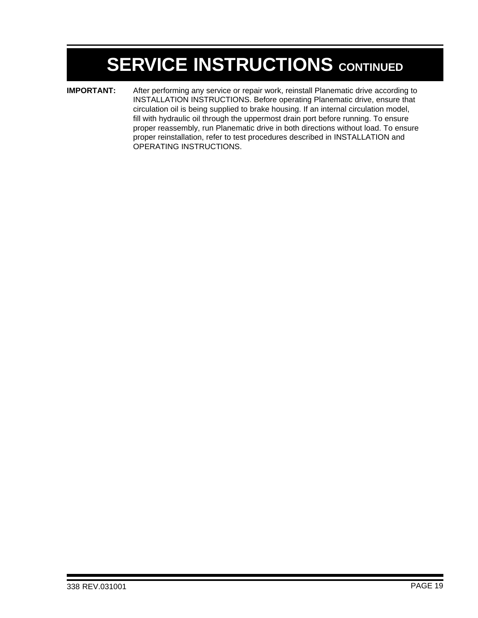**IMPORTANT:** After performing any service or repair work, reinstall Planematic drive according to INSTALLATION INSTRUCTIONS. Before operating Planematic drive, ensure that circulation oil is being supplied to brake housing. If an internal circulation model, fill with hydraulic oil through the uppermost drain port before running. To ensure proper reassembly, run Planematic drive in both directions without load. To ensure proper reinstallation, refer to test procedures described in INSTALLATION and OPERATING INSTRUCTIONS.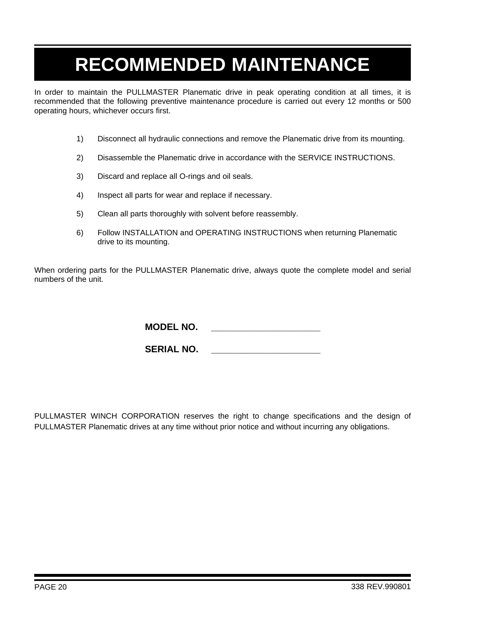## **RECOMMENDED MAINTENANCE**

In order to maintain the PULLMASTER Planematic drive in peak operating condition at all times, it is recommended that the following preventive maintenance procedure is carried out every 12 months or 500 operating hours, whichever occurs first.

- 1) Disconnect all hydraulic connections and remove the Planematic drive from its mounting.
- 2) Disassemble the Planematic drive in accordance with the SERVICE INSTRUCTIONS.
- 3) Discard and replace all O-rings and oil seals.
- 4) Inspect all parts for wear and replace if necessary.
- 5) Clean all parts thoroughly with solvent before reassembly.
- 6) Follow INSTALLATION and OPERATING INSTRUCTIONS when returning Planematic drive to its mounting.

When ordering parts for the PULLMASTER Planematic drive, always quote the complete model and serial numbers of the unit.

**MODEL NO. \_\_\_\_\_\_\_\_\_\_\_\_\_\_\_\_\_\_\_\_\_**

**SERIAL NO. \_\_\_\_\_\_\_\_\_\_\_\_\_\_\_\_\_\_\_\_\_**

PULLMASTER WINCH CORPORATION reserves the right to change specifications and the design of PULLMASTER Planematic drives at any time without prior notice and without incurring any obligations.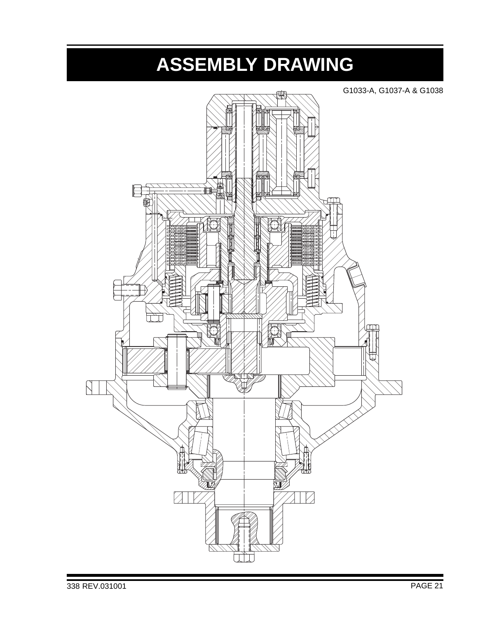# **ASSEMBLY DRAWING**

G1033-A, G1037-A & G1038 $\mathbb N$  $\mathbb N$ И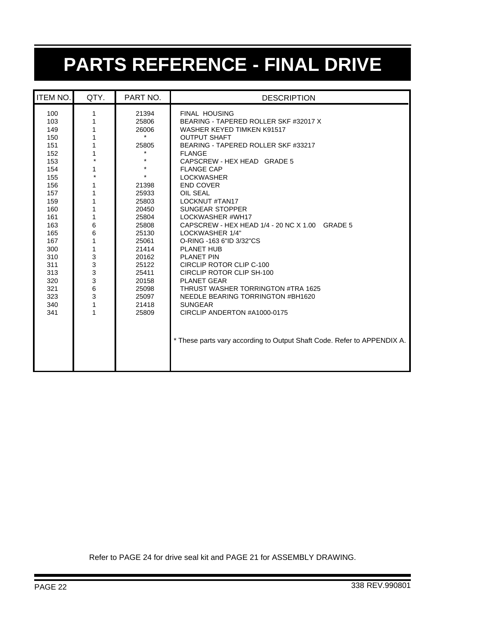# **PARTS REFERENCE - FINAL DRIVE**

| <b>ITEM NO.</b>                                                                                                                                                                    | QTY.                                                                                                                                             | PART NO.                                                                                                                                                                                                                   | <b>DESCRIPTION</b>                                                                                                                                                                                                                                                                                                                                                                                                                                                                                                                                                                                                                                                                                                                                                                           |
|------------------------------------------------------------------------------------------------------------------------------------------------------------------------------------|--------------------------------------------------------------------------------------------------------------------------------------------------|----------------------------------------------------------------------------------------------------------------------------------------------------------------------------------------------------------------------------|----------------------------------------------------------------------------------------------------------------------------------------------------------------------------------------------------------------------------------------------------------------------------------------------------------------------------------------------------------------------------------------------------------------------------------------------------------------------------------------------------------------------------------------------------------------------------------------------------------------------------------------------------------------------------------------------------------------------------------------------------------------------------------------------|
| 100<br>103<br>149<br>150<br>151<br>152<br>153<br>154<br>155<br>156<br>157<br>159<br>160<br>161<br>163<br>165<br>167<br>300<br>310<br>311<br>313<br>320<br>321<br>323<br>340<br>341 | 1<br>1<br>1<br>1<br>1<br>1<br>$\star$<br>1<br>$\star$<br>1<br>1<br>1<br>1<br>1<br>6<br>6<br>1<br>$\mathbf{1}$<br>3<br>3<br>3<br>3<br>6<br>3<br>1 | 21394<br>25806<br>26006<br>$\star$<br>25805<br>$\star$<br>$\star$<br>21398<br>25933<br>25803<br>20450<br>25804<br>25808<br>25130<br>25061<br>21414<br>20162<br>25122<br>25411<br>20158<br>25098<br>25097<br>21418<br>25809 | <b>FINAL HOUSING</b><br>BEARING - TAPERED ROLLER SKF #32017 X<br>WASHER KEYED TIMKEN K91517<br><b>OUTPUT SHAFT</b><br>BEARING - TAPERED ROLLER SKF #33217<br><b>FLANGE</b><br>CAPSCREW - HEX HEAD GRADE 5<br><b>FLANGE CAP</b><br><b>LOCKWASHER</b><br><b>END COVER</b><br>OIL SEAL<br><b>LOCKNUT #TAN17</b><br><b>SUNGEAR STOPPER</b><br>LOCKWASHER #WH17<br>CAPSCREW - HEX HEAD 1/4 - 20 NC X 1.00 GRADE 5<br>LOCKWASHER 1/4"<br>O-RING -163 6"ID 3/32"CS<br><b>PLANET HUB</b><br><b>PLANET PIN</b><br>CIRCLIP ROTOR CLIP C-100<br>CIRCLIP ROTOR CLIP SH-100<br><b>PLANET GEAR</b><br>THRUST WASHER TORRINGTON #TRA 1625<br>NEEDLE BEARING TORRINGTON #BH1620<br><b>SUNGEAR</b><br>CIRCLIP ANDERTON #A1000-0175<br>* These parts vary according to Output Shaft Code. Refer to APPENDIX A. |

Refer to PAGE 24 for drive seal kit and PAGE 21 for ASSEMBLY DRAWING.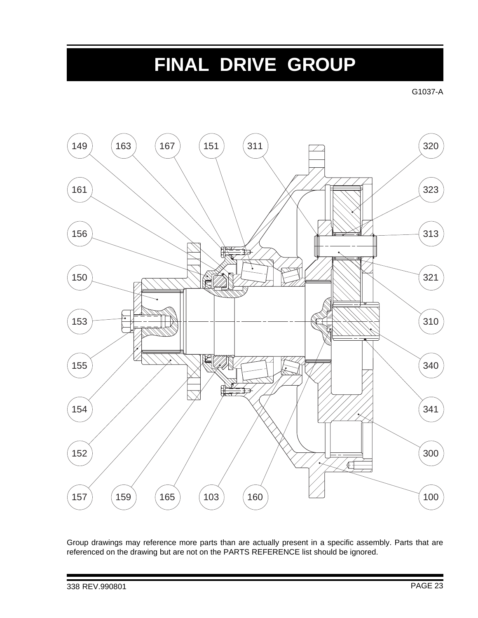## **FINAL DRIVE GROUP**

G1037-A



Group drawings may reference more parts than are actually present in a specific assembly. Parts that are referenced on the drawing but are not on the PARTS REFERENCE list should be ignored.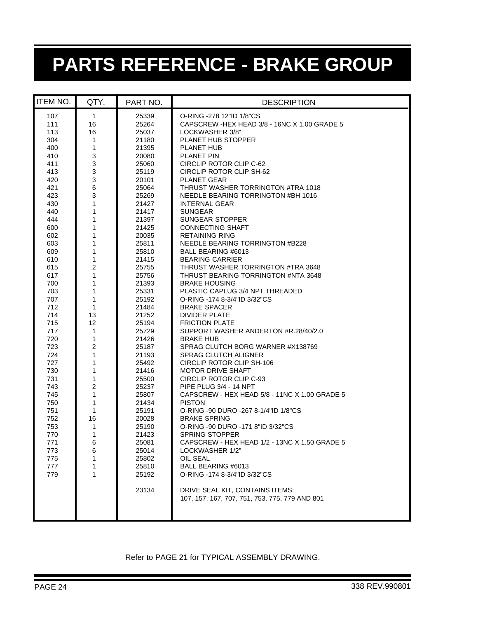# **PARTS REFERENCE - BRAKE GROUP**

| <b>ITEM NO.</b> | QTY.                | PART NO.       | <b>DESCRIPTION</b>                                               |  |
|-----------------|---------------------|----------------|------------------------------------------------------------------|--|
| 107             | $\mathbf{1}$        | 25339          | O-RING -278 12"ID 1/8"CS                                         |  |
| 111             | 16                  | 25264          | CAPSCREW -HEX HEAD 3/8 - 16NC X 1.00 GRADE 5                     |  |
| 113             | 16                  | 25037          | LOCKWASHER 3/8"                                                  |  |
| 304             | 1                   | 21180          | PLANET HUB STOPPER                                               |  |
| 400             | 1                   | 21395          | <b>PLANET HUB</b>                                                |  |
| 410             | 3                   | 20080          | PLANET PIN                                                       |  |
| 411             | 3                   | 25060          | CIRCLIP ROTOR CLIP C-62                                          |  |
| 413             | 3                   | 25119          | CIRCLIP ROTOR CLIP SH-62                                         |  |
| 420             | 3                   | 20101          | <b>PLANET GEAR</b>                                               |  |
| 421             | 6                   | 25064          | THRUST WASHER TORRINGTON #TRA 1018                               |  |
| 423             | 3                   | 25269          | NEEDLE BEARING TORRINGTON #BH 1016                               |  |
| 430             | 1                   | 21427          | <b>INTERNAL GEAR</b>                                             |  |
| 440             | 1                   | 21417          | <b>SUNGEAR</b>                                                   |  |
| 444             | 1                   | 21397          | <b>SUNGEAR STOPPER</b>                                           |  |
| 600             | 1                   | 21425          | <b>CONNECTING SHAFT</b>                                          |  |
| 602             | 1                   | 20035          | RETAINING RING                                                   |  |
| 603             | 1                   | 25811          | NEEDLE BEARING TORRINGTON #B228                                  |  |
| 609             | 1                   | 25810          | BALL BEARING #6013                                               |  |
| 610             | 1                   | 21415          | <b>BEARING CARRIER</b>                                           |  |
| 615             | 2                   | 25755          | THRUST WASHER TORRINGTON #TRA 3648                               |  |
| 617             | 1                   | 25756          | THRUST BEARING TORRINGTON #NTA 3648                              |  |
| 700             | 1                   | 21393          | <b>BRAKE HOUSING</b>                                             |  |
| 703             | 1                   | 25331          | PLASTIC CAPLUG 3/4 NPT THREADED                                  |  |
| 707             | 1                   | 25192          | O-RING -174 8-3/4"ID 3/32"CS                                     |  |
| 712             | 1                   | 21484          | <b>BRAKE SPACER</b>                                              |  |
| 714             | 13                  | 21252          | <b>DIVIDER PLATE</b>                                             |  |
| 715             | 12                  | 25194          | <b>FRICTION PLATE</b>                                            |  |
| 717             | 1                   | 25729          | SUPPORT WASHER ANDERTON #R.28/40/2.0                             |  |
| 720             | 1                   | 21426          | <b>BRAKE HUB</b>                                                 |  |
| 723<br>724      | $\overline{c}$<br>1 | 25187          | SPRAG CLUTCH BORG WARNER #X138769<br><b>SPRAG CLUTCH ALIGNER</b> |  |
| 727             | 1                   | 21193<br>25492 | CIRCLIP ROTOR CLIP SH-106                                        |  |
| 730             | 1                   | 21416          | <b>MOTOR DRIVE SHAFT</b>                                         |  |
| 731             | 1                   | 25500          | CIRCLIP ROTOR CLIP C-93                                          |  |
| 743             | 2                   | 25237          | PIPE PLUG 3/4 - 14 NPT                                           |  |
| 745             | 1                   | 25807          | CAPSCREW - HEX HEAD 5/8 - 11NC X 1.00 GRADE 5                    |  |
| 750             | 1                   | 21434          | <b>PISTON</b>                                                    |  |
| 751             | 1                   | 25191          | O-RING -90 DURO -267 8-1/4"ID 1/8"CS                             |  |
| 752             | 16                  | 20028          | <b>BRAKE SPRING</b>                                              |  |
| 753             | 1                   | 25190          | O-RING -90 DURO -171 8"ID 3/32"CS                                |  |
| 770             | 1                   | 21423          | <b>SPRING STOPPER</b>                                            |  |
| 771             | 6                   | 25081          | CAPSCREW - HEX HEAD 1/2 - 13NC X 1.50 GRADE 5                    |  |
| 773             | 6                   | 25014          | LOCKWASHER 1/2"                                                  |  |
| 775             | 1                   | 25802          | OIL SEAL                                                         |  |
| 777             | 1                   | 25810          | BALL BEARING #6013                                               |  |
| 779             | 1                   | 25192          | O-RING -174 8-3/4"ID 3/32"CS                                     |  |
|                 |                     |                |                                                                  |  |
|                 |                     | 23134          | DRIVE SEAL KIT, CONTAINS ITEMS:                                  |  |
|                 |                     |                | 107, 157, 167, 707, 751, 753, 775, 779 AND 801                   |  |
|                 |                     |                |                                                                  |  |
|                 |                     |                |                                                                  |  |
|                 |                     |                |                                                                  |  |

#### Refer to PAGE 21 for TYPICAL ASSEMBLY DRAWING.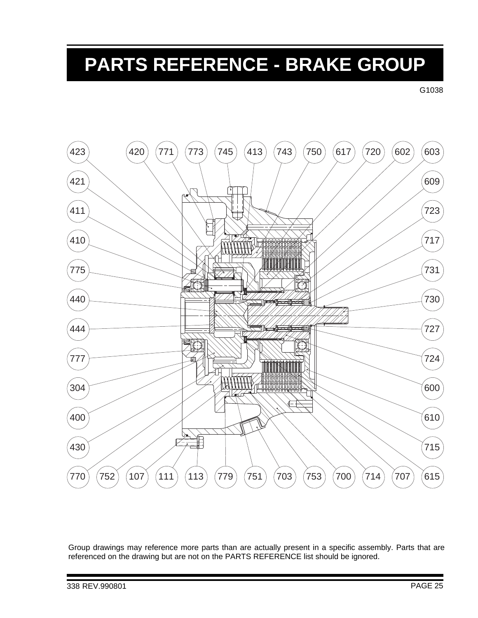## **PARTS REFERENCE - BRAKE GROUP**

G1038



Group drawings may reference more parts than are actually present in a specific assembly. Parts that are referenced on the drawing but are not on the PARTS REFERENCE list should be ignored.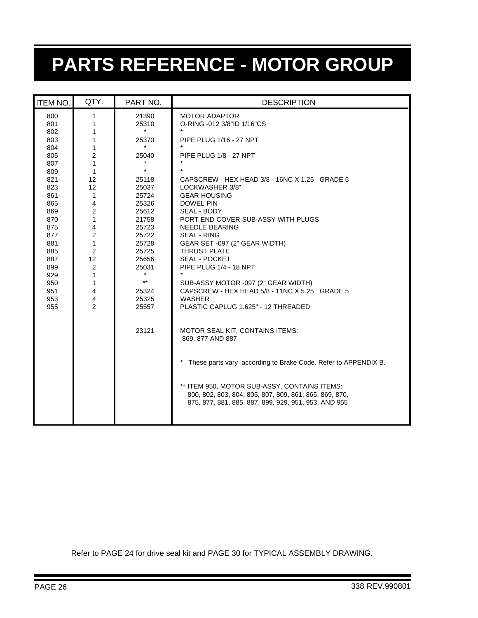# **PARTS REFERENCE - MOTOR GROUP**

| <b>ITEM NO.</b>                                                                         | QTY.                                                                                     | PART NO.                                                                                                            | <b>DESCRIPTION</b>                                                                                                                                                                                                                                                                                                                                             |
|-----------------------------------------------------------------------------------------|------------------------------------------------------------------------------------------|---------------------------------------------------------------------------------------------------------------------|----------------------------------------------------------------------------------------------------------------------------------------------------------------------------------------------------------------------------------------------------------------------------------------------------------------------------------------------------------------|
| 800<br>801<br>802<br>803<br>804<br>805<br>807<br>809<br>821<br>823<br>861<br>865        | 1<br>1<br>1<br>1<br>1<br>$\overline{2}$<br>1<br>1<br>12<br>12<br>1<br>4                  | 21390<br>25310<br>25370<br>25040<br>$\star$<br>25118<br>25037<br>25724<br>25326                                     | <b>MOTOR ADAPTOR</b><br>O-RING -012 3/8"ID 1/16"CS<br>$\star$<br><b>PIPE PLUG 1/16 - 27 NPT</b><br>PIPE PLUG 1/8 - 27 NPT<br>CAPSCREW - HEX HEAD 3/8 - 16NC X 1.25 GRADE 5<br>LOCKWASHER 3/8"<br><b>GEAR HOUSING</b><br><b>DOWEL PIN</b>                                                                                                                       |
| 869<br>870<br>875<br>877<br>881<br>885<br>887<br>899<br>929<br>950<br>951<br>953<br>955 | 2<br>1<br>4<br>2<br>1<br>$\overline{2}$<br>12<br>2<br>1<br>1<br>4<br>4<br>$\overline{2}$ | 25612<br>21758<br>25723<br>25722<br>25728<br>25725<br>25656<br>25031<br>$\star$<br>$***$<br>25324<br>25325<br>25557 | SEAL - BODY<br>PORT END COVER SUB-ASSY WITH PLUGS<br><b>NEEDLE BEARING</b><br><b>SEAL - RING</b><br>GEAR SET -097 (2" GEAR WIDTH)<br><b>THRUST PLATE</b><br><b>SEAL - POCKET</b><br>PIPE PLUG 1/4 - 18 NPT<br>$\star$<br>SUB-ASSY MOTOR -097 (2" GEAR WIDTH)<br>CAPSCREW - HEX HEAD 5/8 - 11NC X 5.25 GRADE 5<br>WASHER<br>PLASTIC CAPLUG 1.625" - 12 THREADED |
|                                                                                         |                                                                                          | 23121                                                                                                               | MOTOR SEAL KIT, CONTAINS ITEMS:<br>869, 877 AND 887<br>$\star$<br>These parts vary according to Brake Code. Refer to APPENDIX B.<br>** ITEM 950, MOTOR SUB-ASSY, CONTAINS ITEMS:<br>800, 802, 803, 804, 805, 807, 809, 861, 865, 869, 870,<br>875, 877, 881, 885, 887, 899, 929, 951, 953, AND 955                                                             |
|                                                                                         |                                                                                          |                                                                                                                     |                                                                                                                                                                                                                                                                                                                                                                |

Refer to PAGE 24 for drive seal kit and PAGE 30 for TYPICAL ASSEMBLY DRAWING.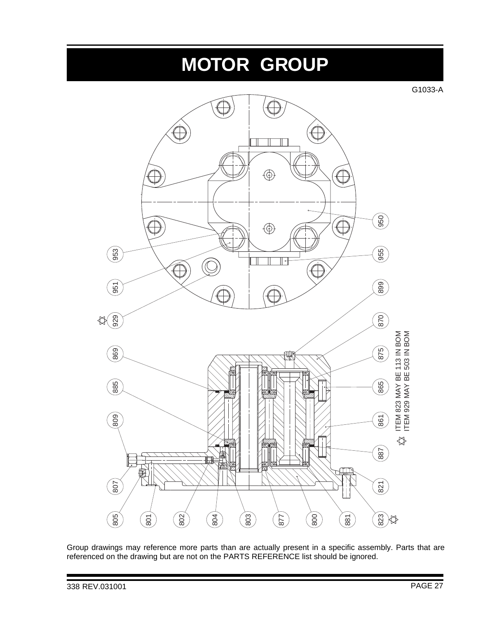# **MOTOR GROUP**

G1033-A



Group drawings may reference more parts than are actually present in a specific assembly. Parts that are referenced on the drawing but are not on the PARTS REFERENCE list should be ignored.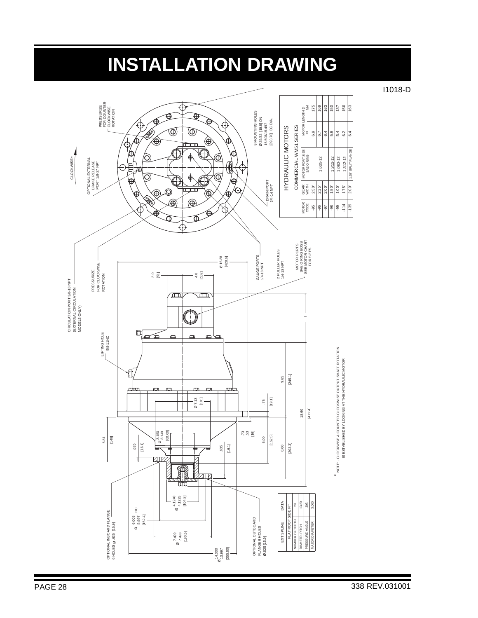### **INSTALLATION DRAWING**

I1018-D

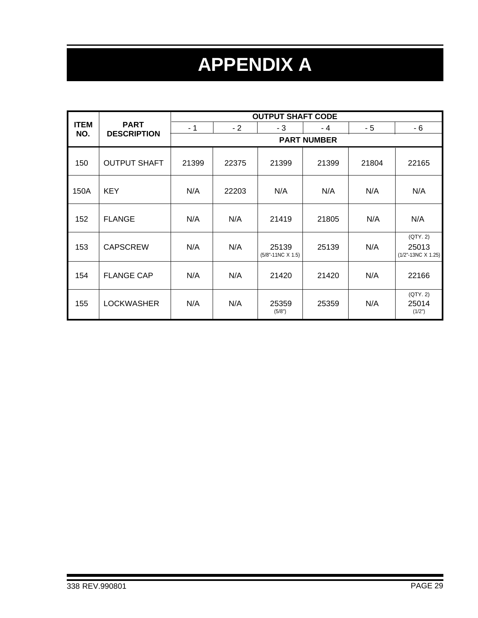# **APPENDIX A**

|             |                     | <b>OUTPUT SHAFT CODE</b> |                    |                                     |       |       |                                                  |  |
|-------------|---------------------|--------------------------|--------------------|-------------------------------------|-------|-------|--------------------------------------------------|--|
| <b>ITEM</b> | <b>PART</b>         | - 1                      | $-2$               | - 3                                 | $-4$  | - 5   | - 6                                              |  |
| NO.         | <b>DESCRIPTION</b>  |                          | <b>PART NUMBER</b> |                                     |       |       |                                                  |  |
| 150         | <b>OUTPUT SHAFT</b> | 21399                    | 22375              | 21399                               | 21399 | 21804 | 22165                                            |  |
| 150A        | <b>KEY</b>          | N/A                      | 22203              | N/A                                 | N/A   | N/A   | N/A                                              |  |
| 152         | <b>FLANGE</b>       | N/A                      | N/A                | 21419                               | 21805 | N/A   | N/A                                              |  |
| 153         | <b>CAPSCREW</b>     | N/A                      | N/A                | 25139<br>$(5/8" - 11NC \times 1.5)$ | 25139 | N/A   | (QTY. 2)<br>25013<br>$(1/2" - 13NC \times 1.25)$ |  |
| 154         | <b>FLANGE CAP</b>   | N/A                      | N/A                | 21420                               | 21420 | N/A   | 22166                                            |  |
| 155         | <b>LOCKWASHER</b>   | N/A                      | N/A                | 25359<br>(5/8")                     | 25359 | N/A   | (QTY. 2)<br>25014<br>(1/2")                      |  |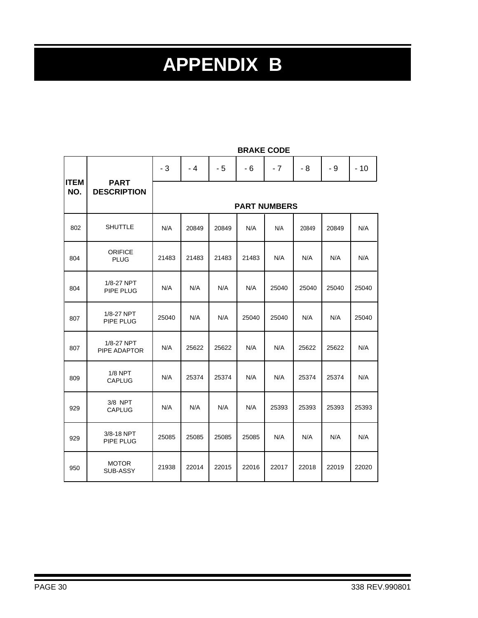# **APPENDIX B**

|                    |                                   | $-3$                | $-4$  | $-5$  | $-6$  | $-7$  | $-8$  | - 9   | $-10$ |
|--------------------|-----------------------------------|---------------------|-------|-------|-------|-------|-------|-------|-------|
| <b>ITEM</b><br>NO. | <b>PART</b><br><b>DESCRIPTION</b> | <b>PART NUMBERS</b> |       |       |       |       |       |       |       |
| 802                | <b>SHUTTLE</b>                    | N/A                 | 20849 | 20849 | N/A   | N/A   | 20849 | 20849 | N/A   |
| 804                | <b>ORIFICE</b><br><b>PLUG</b>     | 21483               | 21483 | 21483 | 21483 | N/A   | N/A   | N/A   | N/A   |
| 804                | 1/8-27 NPT<br>PIPE PLUG           | N/A                 | N/A   | N/A   | N/A   | 25040 | 25040 | 25040 | 25040 |
| 807                | 1/8-27 NPT<br>PIPE PLUG           | 25040               | N/A   | N/A   | 25040 | 25040 | N/A   | N/A   | 25040 |
| 807                | 1/8-27 NPT<br>PIPE ADAPTOR        | N/A                 | 25622 | 25622 | N/A   | N/A   | 25622 | 25622 | N/A   |
| 809                | $1/8$ NPT<br><b>CAPLUG</b>        | N/A                 | 25374 | 25374 | N/A   | N/A   | 25374 | 25374 | N/A   |
| 929                | 3/8 NPT<br><b>CAPLUG</b>          | N/A                 | N/A   | N/A   | N/A   | 25393 | 25393 | 25393 | 25393 |
| 929                | 3/8-18 NPT<br>PIPE PLUG           | 25085               | 25085 | 25085 | 25085 | N/A   | N/A   | N/A   | N/A   |
| 950                | <b>MOTOR</b><br>SUB-ASSY          | 21938               | 22014 | 22015 | 22016 | 22017 | 22018 | 22019 | 22020 |

#### **BRAKE CODE**